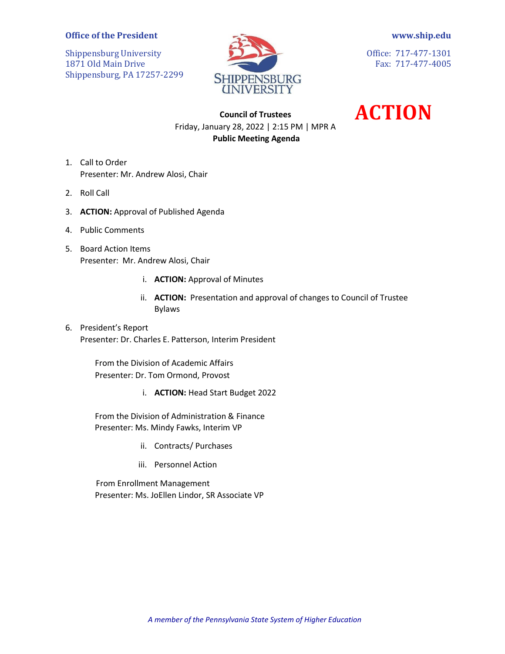## **Office of the President**

Shippensburg University 1871 Old Main Drive Shippensburg, PA 17257-2299



**[www.ship.edu](http://www.ship.edu/)**

Office: 717-477-1301 Fax: 717-477-4005

**ACTION**

## **Council of Trustees** Friday, January 28, 2022 | 2:15 PM | MPR A **Public Meeting Agenda**

- 1. Call to Order Presenter: Mr. Andrew Alosi, Chair
- 2. Roll Call
- 3. **ACTION:** Approval of Published Agenda
- 4. Public Comments
- 5. Board Action Items Presenter: Mr. Andrew Alosi, Chair
	- i. **ACTION:** Approval of Minutes
	- ii. **ACTION:** Presentation and approval of changes to Council of Trustee Bylaws
- 6. President's Report Presenter: Dr. Charles E. Patterson, Interim President

From the Division of Academic Affairs Presenter: Dr. Tom Ormond, Provost

i. **ACTION:** Head Start Budget 2022

From the Division of Administration & Finance Presenter: Ms. Mindy Fawks, Interim VP

- ii. Contracts/ Purchases
- iii. Personnel Action

 From Enrollment Management Presenter: Ms. JoEllen Lindor, SR Associate VP